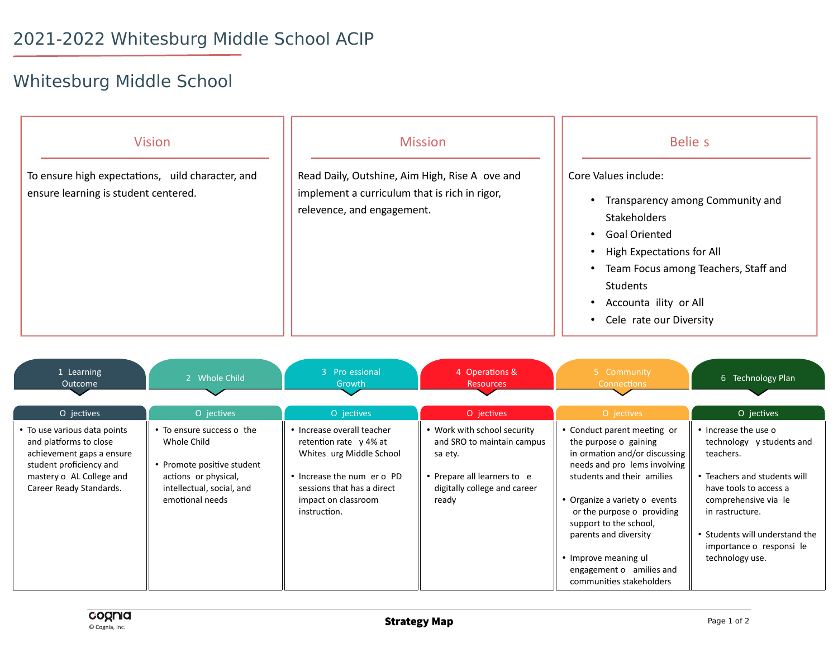## Whitesburg Middle School

| <b>Vision</b>                                                                            | <b>Mission</b>                                                                                                                | Belie s                                                                                                                                                                                                                                                          |
|------------------------------------------------------------------------------------------|-------------------------------------------------------------------------------------------------------------------------------|------------------------------------------------------------------------------------------------------------------------------------------------------------------------------------------------------------------------------------------------------------------|
| To ensure high expectations, uild character, and<br>ensure learning is student centered. | Read Daily, Outshine, Aim High, Rise A ove and<br>implement a curriculum that is rich in rigor,<br>relevence, and engagement. | Core Values include:<br>Transparency among Community and<br><b>Stakeholders</b><br><b>Goal Oriented</b><br><b>High Expectations for All</b><br>Team Focus among Teachers, Staff and<br>$\bullet$<br>Students<br>Accounta ility or All<br>Cele rate our Diversity |

| 1 Learning<br>Outcome                                                                                                                                                 | 2 Whole Child                                                                                                                                  | 3 Pro essional<br>Growth                                                                                                                                                            | 4 Operations &<br><b>Resources</b>                                                                                                         | 5 Community<br>Connections                                                                                                                                                                                                                                                                                                                            | 6 Technology Plan                                                                                                                                                                                                                                    |
|-----------------------------------------------------------------------------------------------------------------------------------------------------------------------|------------------------------------------------------------------------------------------------------------------------------------------------|-------------------------------------------------------------------------------------------------------------------------------------------------------------------------------------|--------------------------------------------------------------------------------------------------------------------------------------------|-------------------------------------------------------------------------------------------------------------------------------------------------------------------------------------------------------------------------------------------------------------------------------------------------------------------------------------------------------|------------------------------------------------------------------------------------------------------------------------------------------------------------------------------------------------------------------------------------------------------|
| O jectives                                                                                                                                                            | O jectives                                                                                                                                     | O jectives                                                                                                                                                                          | O jectives                                                                                                                                 | O jectives                                                                                                                                                                                                                                                                                                                                            | O jectives                                                                                                                                                                                                                                           |
| • To use various data points<br>and platforms to close<br>achievement gaps a ensure<br>student proficiency and<br>mastery o AL College and<br>Career Ready Standards. | • To ensure success o the<br>Whole Child<br>• Promote positive student<br>actions or physical,<br>intellectual, social, and<br>emotional needs | • Increase overall teacher<br>retention rate y 4% at<br>Whites urg Middle School<br>• Increase the num er o PD<br>sessions that has a direct<br>impact on classroom<br>instruction. | • Work with school security<br>and SRO to maintain campus<br>sa ety.<br>Prepare all learners to e<br>digitally college and career<br>ready | • Conduct parent meeting or<br>the purpose o gaining<br>in ormation and/or discussing<br>needs and pro lems involving<br>students and their amilies<br>• Organize a variety o events<br>or the purpose o providing<br>support to the school,<br>parents and diversity<br>• Improve meaning ul<br>engagement o amilies and<br>communities stakeholders | • Increase the use o<br>technology y students and<br>teachers.<br>• Teachers and students will<br>have tools to access a<br>comprehensive via le<br>in rastructure.<br>• Students will understand the<br>importance o responsi le<br>technology use. |